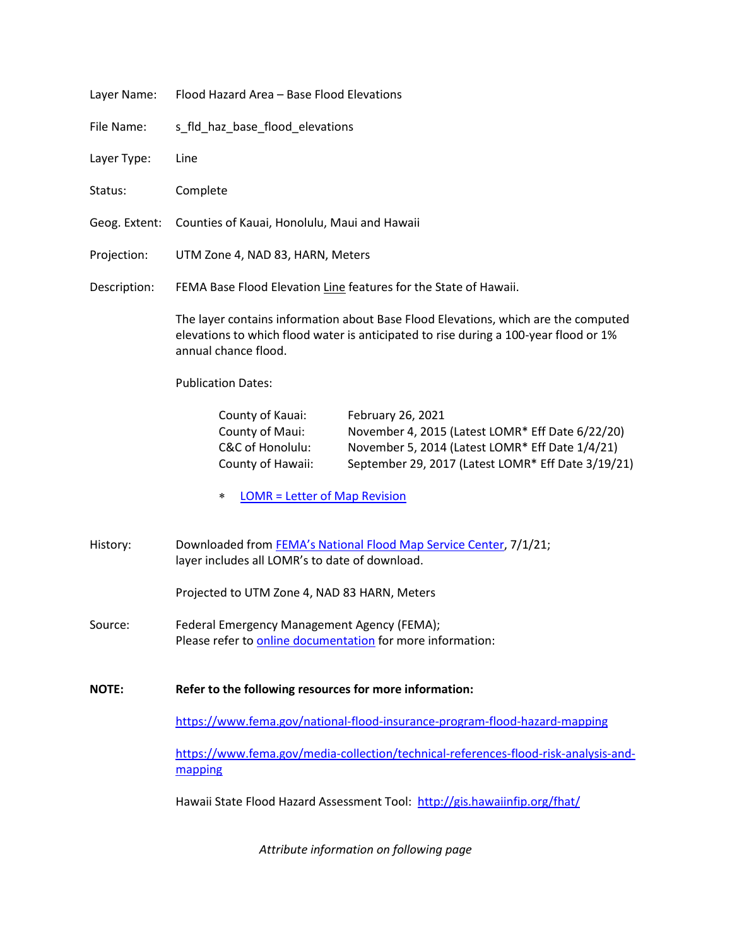| Layer Name:   | Flood Hazard Area - Base Flood Elevations                                                                                                                                                                                                                      |
|---------------|----------------------------------------------------------------------------------------------------------------------------------------------------------------------------------------------------------------------------------------------------------------|
| File Name:    | s_fld_haz_base_flood_elevations                                                                                                                                                                                                                                |
| Layer Type:   | Line                                                                                                                                                                                                                                                           |
| Status:       | Complete                                                                                                                                                                                                                                                       |
| Geog. Extent: | Counties of Kauai, Honolulu, Maui and Hawaii                                                                                                                                                                                                                   |
| Projection:   | UTM Zone 4, NAD 83, HARN, Meters                                                                                                                                                                                                                               |
| Description:  | FEMA Base Flood Elevation Line features for the State of Hawaii.                                                                                                                                                                                               |
|               | The layer contains information about Base Flood Elevations, which are the computed<br>elevations to which flood water is anticipated to rise during a 100-year flood or 1%<br>annual chance flood.                                                             |
|               | <b>Publication Dates:</b>                                                                                                                                                                                                                                      |
|               | County of Kauai:<br>February 26, 2021<br>County of Maui:<br>November 4, 2015 (Latest LOMR* Eff Date 6/22/20)<br>C&C of Honolulu:<br>November 5, 2014 (Latest LOMR* Eff Date 1/4/21)<br>County of Hawaii:<br>September 29, 2017 (Latest LOMR* Eff Date 3/19/21) |
|               | <b>LOMR = Letter of Map Revision</b><br>∗                                                                                                                                                                                                                      |
| History:      | Downloaded from FEMA's National Flood Map Service Center, 7/1/21;<br>layer includes all LOMR's to date of download.                                                                                                                                            |
|               | Projected to UTM Zone 4, NAD 83 HARN, Meters                                                                                                                                                                                                                   |
| Source:       | Federal Emergency Management Agency (FEMA);<br>Please refer to online documentation for more information:                                                                                                                                                      |
| <b>NOTE:</b>  | Refer to the following resources for more information:                                                                                                                                                                                                         |
|               | https://www.fema.gov/national-flood-insurance-program-flood-hazard-mapping                                                                                                                                                                                     |
|               | https://www.fema.gov/media-collection/technical-references-flood-risk-analysis-and-<br>mapping                                                                                                                                                                 |
|               | Hawaii State Flood Hazard Assessment Tool: http://gis.hawaiinfip.org/fhat/                                                                                                                                                                                     |

*Attribute information on following page*